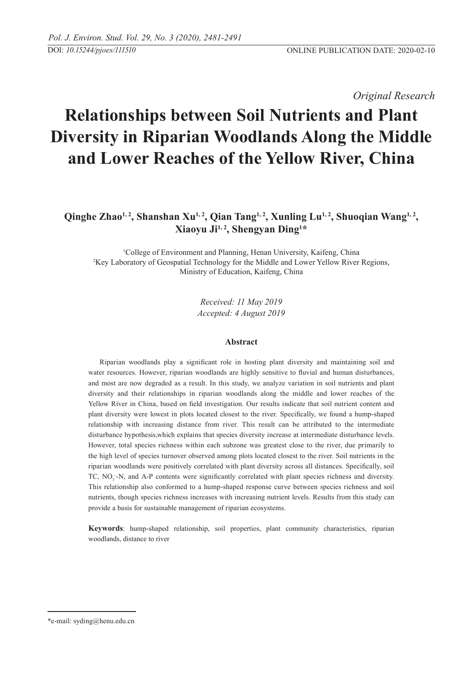*Original Research* 

# **Relationships between Soil Nutrients and Plant Diversity in Riparian Woodlands Along the Middle and Lower Reaches of the Yellow River, China**

Qinghe Zhao<sup>1, 2</sup>, Shanshan Xu<sup>1, 2</sup>, Qian Tang<sup>1, 2</sup>, Xunling Lu<sup>1, 2</sup>, Shuoqian Wang<sup>1, 2</sup>, **Xiaoyu Ji1, 2, Shengyan Ding1 \***

1 College of Environment and Planning, Henan University, Kaifeng, China 2 Key Laboratory of Geospatial Technology for the Middle and Lower Yellow River Regions, Ministry of Education, Kaifeng, China

> *Received: 11 May 2019 Accepted: 4 August 2019*

## **Abstract**

Riparian woodlands play a significant role in hosting plant diversity and maintaining soil and water resources. However, riparian woodlands are highly sensitive to fluvial and human disturbances, and most are now degraded as a result. In this study, we analyze variation in soil nutrients and plant diversity and their relationships in riparian woodlands along the middle and lower reaches of the Yellow River in China, based on field investigation. Our results indicate that soil nutrient content and plant diversity were lowest in plots located closest to the river. Specifically, we found a hump-shaped relationship with increasing distance from river. This result can be attributed to the intermediate disturbance hypothesis,which explains that species diversity increase at intermediate disturbance levels. However, total species richness within each subzone was greatest close to the river, due primarily to the high level of species turnover observed among plots located closest to the river. Soil nutrients in the riparian woodlands were positively correlated with plant diversity across all distances. Specifically, soil TC,  $NO<sub>3</sub>$ -N, and A-P contents were significantly correlated with plant species richness and diversity. This relationship also conformed to a hump-shaped response curve between species richness and soil nutrients, though species richness increases with increasing nutrient levels. Results from this study can provide a basis for sustainable management of riparian ecosystems.

**Keywords**: hump-shaped relationship, soil properties, plant community characteristics, riparian woodlands, distance to river

<sup>\*</sup>e-mail: syding@henu.edu.cn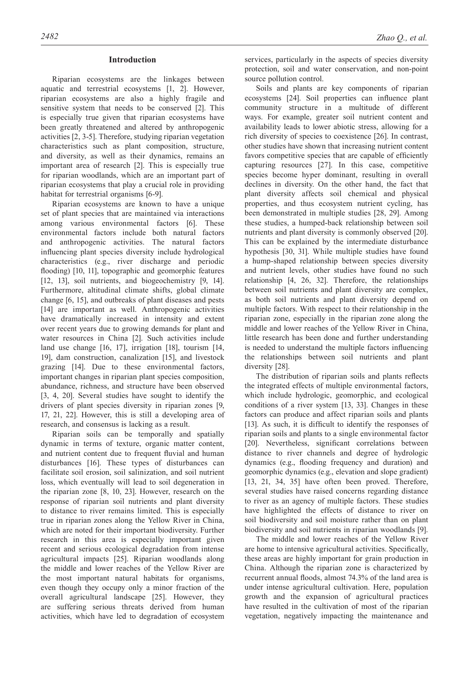#### **Introduction**

Riparian ecosystems are the linkages between aquatic and terrestrial ecosystems [1, 2]. However, riparian ecosystems are also a highly fragile and sensitive system that needs to be conserved [2]. This is especially true given that riparian ecosystems have been greatly threatened and altered by anthropogenic activities [2, 3-5]. Therefore, studying riparian vegetation characteristics such as plant composition, structure, and diversity, as well as their dynamics, remains an important area of research [2]. This is especially true for riparian woodlands, which are an important part of riparian ecosystems that play a crucial role in providing habitat for terrestrial organisms [6-9].

Riparian ecosystems are known to have a unique set of plant species that are maintained via interactions among various environmental factors [6]. These environmental factors include both natural factors and anthropogenic activities. The natural factors influencing plant species diversity include hydrological characteristics (e.g., river discharge and periodic flooding) [10, 11], topographic and geomorphic features [12, 13], soil nutrients, and biogeochemistry [9, 14]. Furthermore, altitudinal climate shifts, global climate change [6, 15], and outbreaks of plant diseases and pests [14] are important as well. Anthropogenic activities have dramatically increased in intensity and extent over recent years due to growing demands for plant and water resources in China [2]. Such activities include land use change [16, 17], irrigation [18], tourism [14, 19], dam construction, canalization [15], and livestock grazing [14]. Due to these environmental factors, important changes in riparian plant species composition, abundance, richness, and structure have been observed [3, 4, 20]. Several studies have sought to identify the drivers of plant species diversity in riparian zones [9, 17, 21, 22]. However, this is still a developing area of research, and consensus is lacking as a result.

Riparian soils can be temporally and spatially dynamic in terms of texture, organic matter content, and nutrient content due to frequent fluvial and human disturbances [16]. These types of disturbances can facilitate soil erosion, soil salinization, and soil nutrient loss, which eventually will lead to soil degeneration in the riparian zone [8, 10, 23]. However, research on the response of riparian soil nutrients and plant diversity to distance to river remains limited. This is especially true in riparian zones along the Yellow River in China, which are noted for their important biodiversity. Further research in this area is especially important given recent and serious ecological degradation from intense agricultural impacts [25]. Riparian woodlands along the middle and lower reaches of the Yellow River are the most important natural habitats for organisms, even though they occupy only a minor fraction of the overall agricultural landscape [25]. However, they are suffering serious threats derived from human activities, which have led to degradation of ecosystem

services, particularly in the aspects of species diversity protection, soil and water conservation, and non-point source pollution control.

Soils and plants are key components of riparian ecosystems [24]. Soil properties can influence plant community structure in a multitude of different ways. For example, greater soil nutrient content and availability leads to lower abiotic stress, allowing for a rich diversity of species to coexistence [26]. In contrast, other studies have shown that increasing nutrient content favors competitive species that are capable of efficiently capturing resources [27]. In this case, competitive species become hyper dominant, resulting in overall declines in diversity. On the other hand, the fact that plant diversity affects soil chemical and physical properties, and thus ecosystem nutrient cycling, has been demonstrated in multiple studies [28, 29]. Among these studies, a humped-back relationship between soil nutrients and plant diversity is commonly observed [20]. This can be explained by the intermediate disturbance hypothesis [30, 31]. While multiple studies have found a hump-shaped relationship between species diversity and nutrient levels, other studies have found no such relationship [4, 26, 32]. Therefore, the relationships between soil nutrients and plant diversity are complex, as both soil nutrients and plant diversity depend on multiple factors. With respect to their relationship in the riparian zone, especially in the riparian zone along the middle and lower reaches of the Yellow River in China, little research has been done and further understanding is needed to understand the multiple factors influencing the relationships between soil nutrients and plant diversity [28].

The distribution of riparian soils and plants reflects the integrated effects of multiple environmental factors, which include hydrologic, geomorphic, and ecological conditions of a river system [13, 33]. Changes in these factors can produce and affect riparian soils and plants [13]. As such, it is difficult to identify the responses of riparian soils and plants to a single environmental factor [20]. Nevertheless, significant correlations between distance to river channels and degree of hydrologic dynamics (e.g., flooding frequency and duration) and geomorphic dynamics (e.g., elevation and slope gradient) [13, 21, 34, 35] have often been proved. Therefore, several studies have raised concerns regarding distance to river as an agency of multiple factors. These studies have highlighted the effects of distance to river on soil biodiversity and soil moisture rather than on plant biodiversity and soil nutrients in riparian woodlands [9].

The middle and lower reaches of the Yellow River are home to intensive agricultural activities. Specifically, these areas are highly important for grain production in China. Although the riparian zone is characterized by recurrent annual floods, almost 74.3% of the land area is under intense agricultural cultivation. Here, population growth and the expansion of agricultural practices have resulted in the cultivation of most of the riparian vegetation, negatively impacting the maintenance and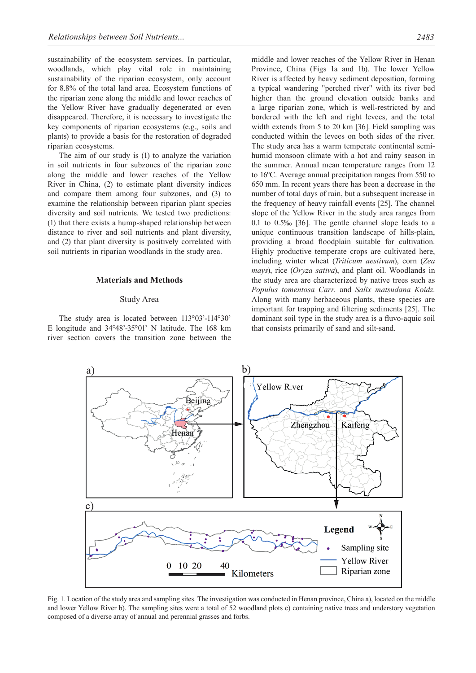sustainability of the ecosystem services. In particular, woodlands, which play vital role in maintaining sustainability of the riparian ecosystem, only account for 8.8% of the total land area. Ecosystem functions of the riparian zone along the middle and lower reaches of the Yellow River have gradually degenerated or even disappeared. Therefore, it is necessary to investigate the key components of riparian ecosystems (e.g., soils and plants) to provide a basis for the restoration of degraded riparian ecosystems.

The aim of our study is (1) to analyze the variation in soil nutrients in four subzones of the riparian zone along the middle and lower reaches of the Yellow River in China, (2) to estimate plant diversity indices and compare them among four subzones, and (3) to examine the relationship between riparian plant species diversity and soil nutrients. We tested two predictions: (1) that there exists a hump-shaped relationship between distance to river and soil nutrients and plant diversity, and (2) that plant diversity is positively correlated with soil nutrients in riparian woodlands in the study area.

## **Materials and Methods**

## Study Area

The study area is located between 113°03'-114°30' E longitude and 34°48'-35°01' N latitude. The 168 km river section covers the transition zone between the

middle and lower reaches of the Yellow River in Henan Province, China (Figs 1a and 1b). The lower Yellow River is affected by heavy sediment deposition, forming a typical wandering "perched river" with its river bed higher than the ground elevation outside banks and a large riparian zone, which is well-restricted by and bordered with the left and right levees, and the total width extends from 5 to 20 km [36]. Field sampling was conducted within the levees on both sides of the river. The study area has a warm temperate continental semihumid monsoon climate with a hot and rainy season in the summer. Annual mean temperature ranges from 12 to 16ºC. Average annual precipitation ranges from 550 to 650 mm. In recent years there has been a decrease in the number of total days of rain, but a subsequent increase in the frequency of heavy rainfall events [25]. The channel slope of the Yellow River in the study area ranges from 0.1 to 0.5‰ [36]. The gentle channel slope leads to a unique continuous transition landscape of hills-plain, providing a broad floodplain suitable for cultivation. Highly productive temperate crops are cultivated here, including winter wheat (*Triticum aestivum*), corn (*Zea mays*), rice (*Oryza sativa*), and plant oil. Woodlands in the study area are characterized by native trees such as *Populus tomentosa Carr.* and *Salix matsudana Koidz*. Along with many herbaceous plants, these species are important for trapping and filtering sediments [25]. The dominant soil type in the study area is a fluvo-aquic soil that consists primarily of sand and silt-sand.



Fig. 1. Location of the study area and sampling sites. The investigation was conducted in Henan province, China a), located on the middle and lower Yellow River b). The sampling sites were a total of 52 woodland plots c) containing native trees and understory vegetation composed of a diverse array of annual and perennial grasses and forbs.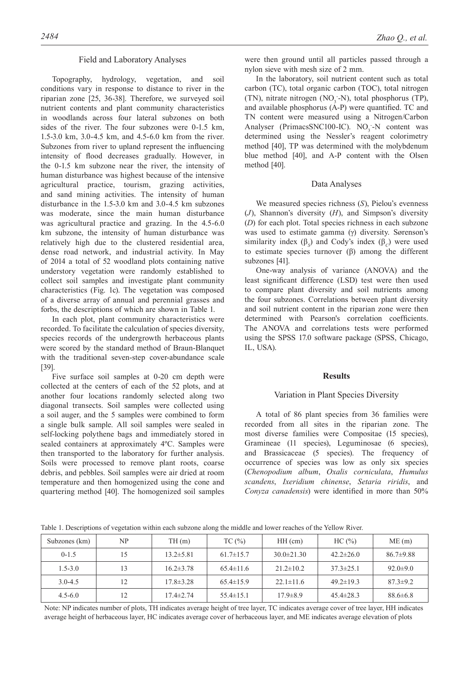## Field and Laboratory Analyses

Topography, hydrology, vegetation, and soil conditions vary in response to distance to river in the riparian zone [25, 36-38]. Therefore, we surveyed soil nutrient contents and plant community characteristics in woodlands across four lateral subzones on both sides of the river. The four subzones were 0-1.5 km, 1.5-3.0 km, 3.0-4.5 km, and 4.5-6.0 km from the river. Subzones from river to upland represent the influencing intensity of flood decreases gradually. However, in the 0-1.5 km subzone near the river, the intensity of human disturbance was highest because of the intensive agricultural practice, tourism, grazing activities, and sand mining activities. The intensity of human disturbance in the 1.5-3.0 km and 3.0-4.5 km subzones was moderate, since the main human disturbance was agricultural practice and grazing. In the 4.5-6.0 km subzone, the intensity of human disturbance was relatively high due to the clustered residential area, dense road network, and industrial activity. In May of 2014 a total of 52 woodland plots containing native understory vegetation were randomly established to collect soil samples and investigate plant community characteristics (Fig. 1c). The vegetation was composed of a diverse array of annual and perennial grasses and forbs, the descriptions of which are shown in Table 1.

In each plot, plant community characteristics were recorded. To facilitate the calculation of species diversity, species records of the undergrowth herbaceous plants were scored by the standard method of Braun-Blanquet with the traditional seven-step cover-abundance scale [39].

Five surface soil samples at 0-20 cm depth were collected at the centers of each of the 52 plots, and at another four locations randomly selected along two diagonal transects. Soil samples were collected using a soil auger, and the 5 samples were combined to form a single bulk sample. All soil samples were sealed in self-locking polythene bags and immediately stored in sealed containers at approximately 4ºC. Samples were then transported to the laboratory for further analysis. Soils were processed to remove plant roots, coarse debris, and pebbles. Soil samples were air dried at room temperature and then homogenized using the cone and quartering method [40]. The homogenized soil samples were then ground until all particles passed through a nylon sieve with mesh size of 2 mm.

In the laboratory, soil nutrient content such as total carbon (TC), total organic carbon (TOC), total nitrogen (TN), nitrate nitrogen (NO<sub>3</sub>-N), total phosphorus (TP), and available phosphorus (A-P) were quantified. TC and TN content were measured using a Nitrogen/Carbon Analyser (PrimacsSNC100-IC).  $NO_3$ -N content was determined using the Nessler's reagent colorimetry method [40], TP was determined with the molybdenum blue method [40], and A-P content with the Olsen method [40].

#### Data Analyses

We measured species richness (*S*), Pielou's evenness (*J*), Shannon's diversity (*H*), and Simpson's diversity (*D*) for each plot. Total species richness in each subzone was used to estimate gamma (γ) diversity. Sørenson's similarity index ( $\beta_s$ ) and Cody's index ( $\beta_c$ ) were used to estimate species turnover (β) among the different subzones [41].

One-way analysis of variance (ANOVA) and the least significant difference (LSD) test were then used to compare plant diversity and soil nutrients among the four subzones. Correlations between plant diversity and soil nutrient content in the riparian zone were then determined with Pearson's correlation coefficients. The ANOVA and correlations tests were performed using the SPSS 17.0 software package (SPSS, Chicago, IL, USA).

#### **Results**

#### Variation in Plant Species Diversity

A total of 86 plant species from 36 families were recorded from all sites in the riparian zone. The most diverse families were Compositae (15 species), Gramineae (11 species), Leguminosae (6 species), and Brassicaceae (5 species). The frequency of occurrence of species was low as only six species (*Chenopodium album*, *Oxalis corniculata*, *Humulus scandens*, *Ixeridium chinense*, *Setaria riridis*, and *Conyza canadensis*) were identified in more than 50%

Table 1. Descriptions of vegetation within each subzone along the middle and lower reaches of the Yellow River.

| Subzones (km) | NP. | TH(m)           | TC(%)           | $HH$ (cm)        | HC(%)           | ME(m)           |
|---------------|-----|-----------------|-----------------|------------------|-----------------|-----------------|
| $0-1.5$       | 15  | $13.2 \pm 5.81$ | $61.7 \pm 15.7$ | $30.0 \pm 21.30$ | $42.2 \pm 26.0$ | $86.7 \pm 9.88$ |
| $1.5 - 3.0$   | 13  | $16.2 \pm 3.78$ | $65.4 \pm 11.6$ | $21.2 \pm 10.2$  | $37.3 \pm 25.1$ | $92.0 \pm 9.0$  |
| $3.0 - 4.5$   | 12  | $17.8 \pm 3.28$ | $65.4 \pm 15.9$ | $22.1 \pm 11.6$  | $49.2 \pm 19.3$ | $87.3 \pm 9.2$  |
| $4.5 - 6.0$   | 12  | $17.4 \pm 2.74$ | $55.4 \pm 15.1$ | $17.9 \pm 8.9$   | $45.4 \pm 28.3$ | $88.6 \pm 6.8$  |

Note: NP indicates number of plots, TH indicates average height of tree layer, TC indicates average cover of tree layer, HH indicates average height of herbaceous layer, HC indicates average cover of herbaceous layer, and ME indicates average elevation of plots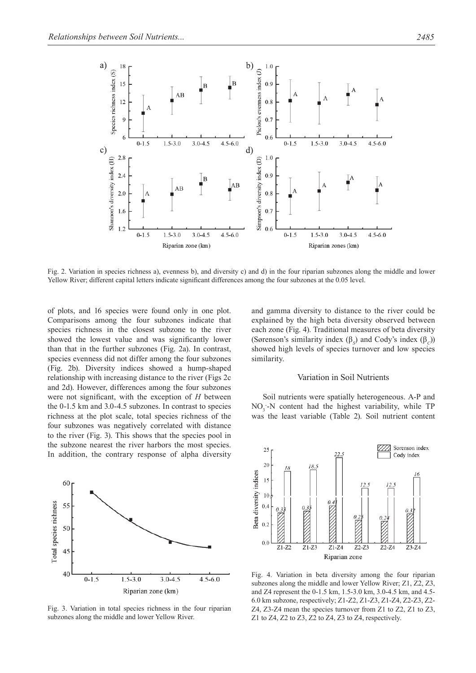

Fig. 2. Variation in species richness a), evenness b), and diversity c) and d) in the four riparian subzones along the middle and lower Yellow River; different capital letters indicate significant differences among the four subzones at the 0.05 level.

of plots, and 16 species were found only in one plot. Comparisons among the four subzones indicate that species richness in the closest subzone to the river showed the lowest value and was significantly lower than that in the further subzones (Fig. 2a). In contrast, species evenness did not differ among the four subzones (Fig. 2b). Diversity indices showed a hump-shaped relationship with increasing distance to the river (Figs 2c and 2d). However, differences among the four subzones were not significant, with the exception of *H* between the 0-1.5 km and 3.0-4.5 subzones. In contrast to species richness at the plot scale, total species richness of the four subzones was negatively correlated with distance to the river (Fig. 3). This shows that the species pool in the subzone nearest the river harbors the most species. In addition, the contrary response of alpha diversity



Fig. 3. Variation in total species richness in the four riparian subzones along the middle and lower Yellow River.

and gamma diversity to distance to the river could be explained by the high beta diversity observed between each zone (Fig. 4). Traditional measures of beta diversity (Sørenson's similarity index  $(\beta_S)$  and Cody's index  $(\beta_C)$ ) showed high levels of species turnover and low species similarity.

## Variation in Soil Nutrients

Soil nutrients were spatially heterogeneous. A-P and  $NO<sub>3</sub>$ -N content had the highest variability, while TP was the least variable (Table 2). Soil nutrient content



Fig. 4. Variation in beta diversity among the four riparian subzones along the middle and lower Yellow River; Z1, Z2, Z3, and Z4 represent the 0-1.5 km, 1.5-3.0 km, 3.0-4.5 km, and 4.5- 6.0 km subzone, respectively; Z1-Z2, Z1-Z3, Z1-Z4, Z2-Z3, Z2- Z4, Z3-Z4 mean the species turnover from Z1 to Z2, Z1 to Z3, Z1 to Z4, Z2 to Z3, Z2 to Z4, Z3 to Z4, respectively.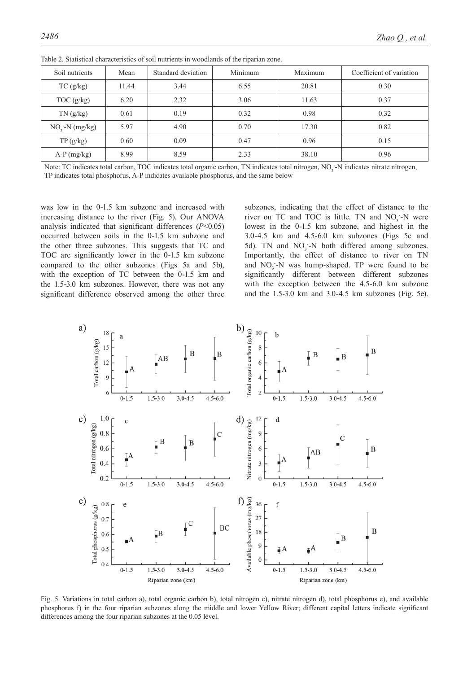| Soil nutrients    | Mean  | Standard deviation | Minimum | Maximum | Coefficient of variation |  |
|-------------------|-------|--------------------|---------|---------|--------------------------|--|
| TC(g/kg)          | 11.44 | 3.44               | 6.55    | 20.81   | 0.30                     |  |
| TOC(g/kg)         | 6.20  | 2.32               | 3.06    | 11.63   | 0.37                     |  |
| TN(g/kg)          | 0.61  | 0.19               | 0.32    | 0.98    | 0.32                     |  |
| $NO3 - N (mg/kg)$ | 5.97  | 4.90               | 0.70    | 17.30   | 0.82                     |  |
| TP(g/kg)          | 0.60  | 0.09               | 0.47    | 0.96    | 0.15                     |  |
| $A-P(mg/kg)$      | 8.99  | 8.59               | 2.33    | 38.10   | 0.96                     |  |

Table 2. Statistical characteristics of soil nutrients in woodlands of the riparian zone.

Note: TC indicates total carbon, TOC indicates total organic carbon, TN indicates total nitrogen, NO<sub>3</sub>-N indicates nitrate nitrogen, TP indicates total phosphorus, A-P indicates available phosphorus, and the same below

was low in the 0-1.5 km subzone and increased with increasing distance to the river (Fig. 5). Our ANOVA analysis indicated that significant differences (*P*<0.05) occurred between soils in the 0-1.5 km subzone and the other three subzones. This suggests that TC and TOC are significantly lower in the 0-1.5 km subzone compared to the other subzones (Figs 5a and 5b), with the exception of TC between the 0-1.5 km and the 1.5-3.0 km subzones. However, there was not any significant difference observed among the other three subzones, indicating that the effect of distance to the river on TC and TOC is little. TN and  $NO_3$ -N were lowest in the 0-1.5 km subzone, and highest in the 3.0-4.5 km and 4.5-6.0 km subzones (Figs 5c and 5d). TN and  $NO_3$ -N both differed among subzones. Importantly, the effect of distance to river on TN and  $NO_3$ -N was hump-shaped. TP were found to be significantly different between different subzones with the exception between the 4.5-6.0 km subzone and the 1.5-3.0 km and 3.0-4.5 km subzones (Fig. 5e).



Fig. 5. Variations in total carbon a), total organic carbon b), total nitrogen c), nitrate nitrogen d), total phosphorus e), and available phosphorus f) in the four riparian subzones along the middle and lower Yellow River; different capital letters indicate significant differences among the four riparian subzones at the 0.05 level.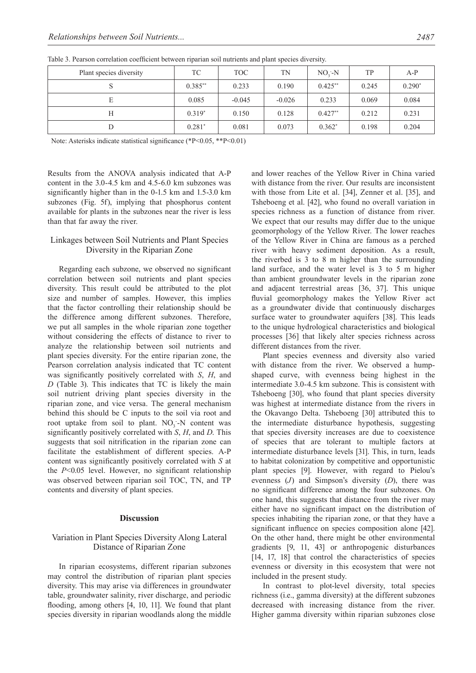|--|--|

| Plant species diversity | TC        | <b>TOC</b> | TN       | $NO - N$   | TP    | $A-P$    |
|-------------------------|-----------|------------|----------|------------|-------|----------|
|                         | $0.385**$ | 0.233      | 0.190    | $0.425***$ | 0.245 | $0.290*$ |
| E                       | 0.085     | $-0.045$   | $-0.026$ | 0.233      | 0.069 | 0.084    |
| Н                       | $0.319*$  | 0.150      | 0.128    | $0.427**$  | 0.212 | 0.231    |
| D                       | $0.281*$  | 0.081      | 0.073    | $0.362*$   | 0.198 | 0.204    |

Table 3. Pearson correlation coefficient between riparian soil nutrients and plant species diversity.

Note: Asterisks indicate statistical significance (\*P<0.05, \*\*P<0.01)

Results from the ANOVA analysis indicated that A-P content in the 3.0-4.5 km and 4.5-6.0 km subzones was significantly higher than in the 0-1.5 km and 1.5-3.0 km subzones (Fig. 5f), implying that phosphorus content available for plants in the subzones near the river is less than that far away the river.

# Linkages between Soil Nutrients and Plant Species Diversity in the Riparian Zone

Regarding each subzone, we observed no significant correlation between soil nutrients and plant species diversity. This result could be attributed to the plot size and number of samples. However, this implies that the factor controlling their relationship should be the difference among different subzones. Therefore, we put all samples in the whole riparian zone together without considering the effects of distance to river to analyze the relationship between soil nutrients and plant species diversity. For the entire riparian zone, the Pearson correlation analysis indicated that TC content was significantly positively correlated with *S*, *H*, and *D* (Table 3). This indicates that TC is likely the main soil nutrient driving plant species diversity in the riparian zone, and vice versa. The general mechanism behind this should be C inputs to the soil via root and root uptake from soil to plant.  $NO_3$ -N content was significantly positively correlated with *S*, *H*, and *D*. This suggests that soil nitrification in the riparian zone can facilitate the establishment of different species. A-P content was significantly positively correlated with *S* at the *P*<0.05 level. However, no significant relationship was observed between riparian soil TOC, TN, and TP contents and diversity of plant species.

# **Discussion**

# Variation in Plant Species Diversity Along Lateral Distance of Riparian Zone

In riparian ecosystems, different riparian subzones may control the distribution of riparian plant species diversity. This may arise via differences in groundwater table, groundwater salinity, river discharge, and periodic flooding, among others [4, 10, 11]. We found that plant species diversity in riparian woodlands along the middle and lower reaches of the Yellow River in China varied with distance from the river. Our results are inconsistent with those from Lite et al. [34], Zenner et al. [35], and Tsheboeng et al. [42], who found no overall variation in species richness as a function of distance from river. We expect that our results may differ due to the unique geomorphology of the Yellow River. The lower reaches of the Yellow River in China are famous as a perched river with heavy sediment deposition. As a result, the riverbed is 3 to 8 m higher than the surrounding land surface, and the water level is 3 to 5 m higher than ambient groundwater levels in the riparian zone and adjacent terrestrial areas [36, 37]. This unique fluvial geomorphology makes the Yellow River act as a groundwater divide that continuously discharges surface water to groundwater aquifers [38]. This leads to the unique hydrological characteristics and biological processes [36] that likely alter species richness across different distances from the river.

Plant species evenness and diversity also varied with distance from the river. We observed a humpshaped curve, with evenness being highest in the intermediate 3.0-4.5 km subzone. This is consistent with Tsheboeng [30], who found that plant species diversity was highest at intermediate distance from the rivers in the Okavango Delta. Tsheboeng [30] attributed this to the intermediate disturbance hypothesis, suggesting that species diversity increases are due to coexistence of species that are tolerant to multiple factors at intermediate disturbance levels [31]. This, in turn, leads to habitat colonization by competitive and opportunistic plant species [9]. However, with regard to Pielou's evenness (*J*) and Simpson's diversity (*D*), there was no significant difference among the four subzones. On one hand, this suggests that distance from the river may either have no significant impact on the distribution of species inhabiting the riparian zone, or that they have a significant influence on species composition alone [42]. On the other hand, there might be other environmental gradients [9, 11, 43] or anthropogenic disturbances [14, 17, 18] that control the characteristics of species evenness or diversity in this ecosystem that were not included in the present study.

In contrast to plot-level diversity, total species richness (i.e., gamma diversity) at the different subzones decreased with increasing distance from the river. Higher gamma diversity within riparian subzones close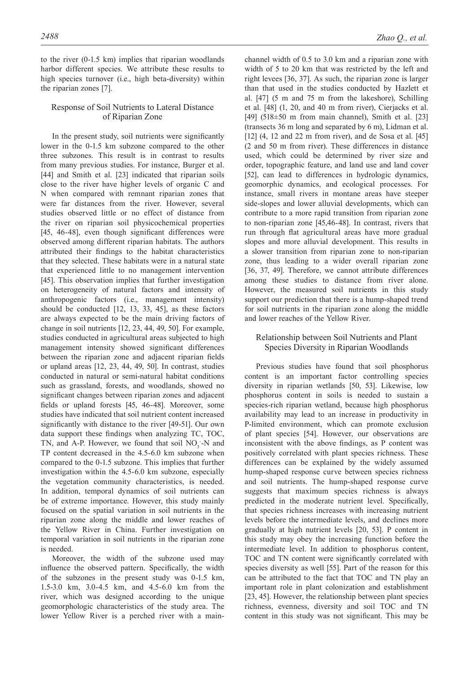to the river (0-1.5 km) implies that riparian woodlands harbor different species. We attribute these results to high species turnover (i.e., high beta-diversity) within the riparian zones [7].

## Response of Soil Nutrients to Lateral Distance of Riparian Zone

In the present study, soil nutrients were significantly lower in the 0-1.5 km subzone compared to the other three subzones. This result is in contrast to results from many previous studies. For instance, Burger et al. [44] and Smith et al. [23] indicated that riparian soils close to the river have higher levels of organic C and N when compared with remnant riparian zones that were far distances from the river. However, several studies observed little or no effect of distance from the river on riparian soil physicochemical properties [45, 46-48], even though significant differences were observed among different riparian habitats. The authors attributed their findings to the habitat characteristics that they selected. These habitats were in a natural state that experienced little to no management intervention [45]. This observation implies that further investigation on heterogeneity of natural factors and intensity of anthropogenic factors (i.e., management intensity) should be conducted [12, 13, 33, 45], as these factors are always expected to be the main driving factors of change in soil nutrients [12, 23, 44, 49, 50]. For example, studies conducted in agricultural areas subjected to high management intensity showed significant differences between the riparian zone and adjacent riparian fields or upland areas [12, 23, 44, 49, 50]. In contrast, studies conducted in natural or semi-natural habitat conditions such as grassland, forests, and woodlands, showed no significant changes between riparian zones and adjacent fields or upland forests [45, 46-48]. Moreover, some studies have indicated that soil nutrient content increased significantly with distance to the river [49-51]. Our own data support these findings when analyzing TC, TOC, TN, and A-P. However, we found that soil  $NO<sub>3</sub>$ -N and TP content decreased in the 4.5-6.0 km subzone when compared to the 0-1.5 subzone. This implies that further investigation within the 4.5-6.0 km subzone, especially the vegetation community characteristics, is needed. In addition, temporal dynamics of soil nutrients can be of extreme importance. However, this study mainly focused on the spatial variation in soil nutrients in the riparian zone along the middle and lower reaches of the Yellow River in China. Further investigation on temporal variation in soil nutrients in the riparian zone is needed.

Moreover, the width of the subzone used may influence the observed pattern. Specifically, the width of the subzones in the present study was 0-1.5 km, 1.5-3.0 km, 3.0-4.5 km, and 4.5-6.0 km from the river, which was designed according to the unique geomorphologic characteristics of the study area. The lower Yellow River is a perched river with a mainchannel width of 0.5 to 3.0 km and a riparian zone with width of 5 to 20 km that was restricted by the left and right levees [36, 37]. As such, the riparian zone is larger than that used in the studies conducted by Hazlett et al. [47] (5 m and 75 m from the lakeshore), Schilling et al. [48] (1, 20, and 40 m from river), Cierjacks et al. [49] (518±50 m from main channel), Smith et al. [23] (transects 36 m long and separated by 6 m), Lidman et al. [12] (4, 12 and 22 m from river), and de Sosa et al. [45] (2 and 50 m from river). These differences in distance used, which could be determined by river size and order, topographic feature, and land use and land cover [52], can lead to differences in hydrologic dynamics, geomorphic dynamics, and ecological processes. For instance, small rivers in montane areas have steeper side-slopes and lower alluvial developments, which can contribute to a more rapid transition from riparian zone to non-riparian zone [45,46-48]. In contrast, rivers that run through flat agricultural areas have more gradual slopes and more alluvial development. This results in a slower transition from riparian zone to non-riparian zone, thus leading to a wider overall riparian zone [36, 37, 49]. Therefore, we cannot attribute differences among these studies to distance from river alone. However, the measured soil nutrients in this study support our prediction that there is a hump-shaped trend for soil nutrients in the riparian zone along the middle and lower reaches of the Yellow River.

# Relationship between Soil Nutrients and Plant Species Diversity in Riparian Woodlands

Previous studies have found that soil phosphorus content is an important factor controlling species diversity in riparian wetlands [50, 53]. Likewise, low phosphorus content in soils is needed to sustain a species-rich riparian wetland, because high phosphorus availability may lead to an increase in productivity in P-limited environment, which can promote exclusion of plant species [54]. However, our observations are inconsistent with the above findings, as P content was positively correlated with plant species richness. These differences can be explained by the widely assumed hump-shaped response curve between species richness and soil nutrients. The hump-shaped response curve suggests that maximum species richness is always predicted in the moderate nutrient level. Specifically, that species richness increases with increasing nutrient levels before the intermediate levels, and declines more gradually at high nutrient levels [20, 53]. P content in this study may obey the increasing function before the intermediate level. In addition to phosphorus content, TOC and TN content were significantly correlated with species diversity as well [55]. Part of the reason for this can be attributed to the fact that TOC and TN play an important role in plant colonization and establishment [23, 45]. However, the relationship between plant species richness, evenness, diversity and soil TOC and TN content in this study was not significant. This may be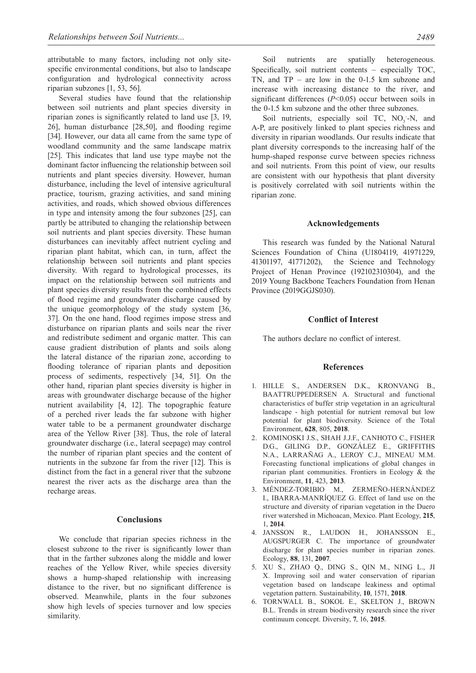attributable to many factors, including not only sitespecific environmental conditions, but also to landscape configuration and hydrological connectivity across riparian subzones [1, 53, 56].

Several studies have found that the relationship between soil nutrients and plant species diversity in riparian zones is significantly related to land use [3, 19, 26], human disturbance [28,50], and flooding regime [34]. However, our data all came from the same type of woodland community and the same landscape matrix [25]. This indicates that land use type maybe not the dominant factor influencing the relationship between soil nutrients and plant species diversity. However, human disturbance, including the level of intensive agricultural practice, tourism, grazing activities, and sand mining activities, and roads, which showed obvious differences in type and intensity among the four subzones [25], can partly be attributed to changing the relationship between soil nutrients and plant species diversity. These human disturbances can inevitably affect nutrient cycling and riparian plant habitat, which can, in turn, affect the relationship between soil nutrients and plant species diversity. With regard to hydrological processes, its impact on the relationship between soil nutrients and plant species diversity results from the combined effects of flood regime and groundwater discharge caused by the unique geomorphology of the study system [36, 37]. On the one hand, flood regimes impose stress and disturbance on riparian plants and soils near the river and redistribute sediment and organic matter. This can cause gradient distribution of plants and soils along the lateral distance of the riparian zone, according to flooding tolerance of riparian plants and deposition process of sediments, respectively [34, 51]. On the other hand, riparian plant species diversity is higher in areas with groundwater discharge because of the higher nutrient availability [4, 12]. The topographic feature of a perched river leads the far subzone with higher water table to be a permanent groundwater discharge area of the Yellow River [38]. Thus, the role of lateral groundwater discharge (i.e., lateral seepage) may control the number of riparian plant species and the content of nutrients in the subzone far from the river [12]. This is distinct from the fact in a general river that the subzone nearest the river acts as the discharge area than the recharge areas.

## **Conclusions**

We conclude that riparian species richness in the closest subzone to the river is significantly lower than that in the farther subzones along the middle and lower reaches of the Yellow River, while species diversity shows a hump-shaped relationship with increasing distance to the river, but no significant difference is observed. Meanwhile, plants in the four subzones show high levels of species turnover and low species similarity.

Soil nutrients are spatially heterogeneous. Specifically, soil nutrient contents – especially TOC, TN, and TP – are low in the 0-1.5 km subzone and increase with increasing distance to the river, and significant differences (*P*<0.05) occur between soils in the 0-1.5 km subzone and the other three subzones.

Soil nutrients, especially soil TC,  $NO_3-N$ , and A-P, are positively linked to plant species richness and diversity in riparian woodlands. Our results indicate that plant diversity corresponds to the increasing half of the hump-shaped response curve between species richness and soil nutrients. From this point of view, our results are consistent with our hypothesis that plant diversity is positively correlated with soil nutrients within the riparian zone.

## **Acknowledgements**

This research was funded by the National Natural Sciences Foundation of China (U1804119, 41971229, 41301197, 41771202), the Science and Technology Project of Henan Province (192102310304), and the 2019 Young Backbone Teachers Foundation from Henan Province (2019GGJS030).

## **Conflict of Interest**

The authors declare no conflict of interest.

## **References**

- 1. HILLE S., ANDERSEN D.K., KRONVANG B., BAATTRUPPEDERSEN A. Structural and functional characteristics of buffer strip vegetation in an agricultural landscape - high potential for nutrient removal but low potential for plant biodiversity. Science of the Total Environment, **628**, 805, **2018**.
- 2. KOMINOSKI J.S., SHAH J.J.F., CANHOTO C., FISHER D.G., GILING D.P., GONZÁLEZ E., GRIFFITHS N.A., LARRAÑAG A., LEROY C.J., MINEAU M.M. Forecasting functional implications of global changes in riparian plant communities. Frontiers in Ecology & the Environment, **11**, 423, **2013**.
- 3. MÉNDEZ-TORIBIO M., ZERMEÑO-HERNÁNDEZ I., IBARRA-MANRÍQUEZ G. Effect of land use on the structure and diversity of riparian vegetation in the Duero river watershed in Michoacan, Mexico. Plant Ecology, **215**, 1, **2014**.
- 4. JANSSON R., LAUDON H., JOHANSSON E., AUGSPURGER C. The importance of groundwater discharge for plant species number in riparian zones. Ecology, **88**, 131, **2007**.
- 5. XU S., ZHAO Q., DING S., QIN M., NING L., JI X. Improving soil and water conservation of riparian vegetation based on landscape leakiness and optimal vegetation pattern. Sustainability, **10**, 1571, **2018**.
- 6. TORNWALL B., SOKOL E., SKELTON J., BROWN B.L. Trends in stream biodiversity research since the river continuum concept. Diversity, **7**, 16, **2015**.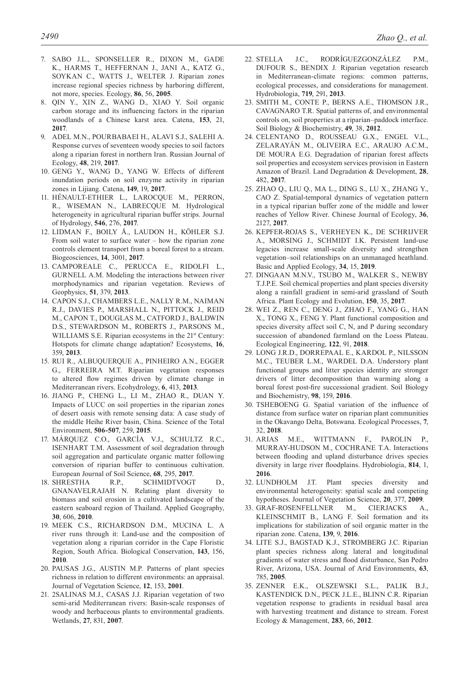- 7. SABO J.L., SPONSELLER R., DIXON M., GADE K., HARMS T., HEFFERNAN J., JANI A., KATZ G., SOYKAN C., WATTS J., WELTER J. Riparian zones increase regional species richness by harboring different, not more, species. Ecology, **86**, 56, **2005**.
- 8. QIN Y., XIN Z., WANG D., XIAO Y. Soil organic carbon storage and its influencing factors in the riparian woodlands of a Chinese karst area. Catena, **153**, 21, **2017**.
- 9. ADEL M.N., POURBABAEI H., ALAVI S.J., SALEHI A. Response curves of seventeen woody species to soil factors along a riparian forest in northern Iran. Russian Journal of Ecology, **48**, 219, **2017**.
- 10. GENG Y., WANG D., YANG W. Effects of different inundation periods on soil enzyme activity in riparian zones in Lijiang. Catena, **149**, 19, **2017**.
- 11. HÉNAULT-ETHIER L., LAROCQUE M., PERRON, R., WISEMAN N., LABRECQUE M. Hydrological heterogeneity in agricultural riparian buffer strips. Journal of Hydrology, **546**, 276, **2017**.
- 12. LIDMAN F., BOILY Å., LAUDON H., KÖHLER S.J. From soil water to surface water – how the riparian zone controls element transport from a boreal forest to a stream. Biogeosciences, **14**, 3001, **2017**.
- 13. CAMPOREALE C., PERUCCA E., RIDOLFI L., GURNELL A.M. Modeling the interactions between river morphodynamics and riparian vegetation. Reviews of Geophysics, **51**, 379, **2013**.
- 14. CAPON S.J., CHAMBERS L.E., NALLY R.M., NAIMAN R.J., DAVIES P., MARSHALL N., PITTOCK J., REID M., CAPON T., DOUGLAS M., Catford J., Baldwin D.S., Stewardson M., Roberts J., Parsons M., WILLIAMS S.E. Riparian ecosystems in the 21<sup>st</sup> Century: Hotspots for climate change adaptation? Ecosystems, **16**, 359, **2013**.
- 15. RUI R., ALBUQUERQUE A., PINHEIRO A.N., EGGER G., FERREIRA M.T. Riparian vegetation responses to altered flow regimes driven by climate change in Mediterranean rivers. Ecohydrology, **6**, 413, **2013**.
- 16. JIANG P., CHENG L., LI M., ZHAO R., DUAN Y. Impacts of LUCC on soil properties in the riparian zones of desert oasis with remote sensing data: A case study of the middle Heihe River basin, China. Science of the Total Environment, **506-507**, 259, **2015**.
- 17. MÁRQUEZ C.O., GARCÍA V.J., SCHULTZ R.C., ISENHART T.M. Assessment of soil degradation through soil aggregation and particulate organic matter following conversion of riparian buffer to continuous cultivation. European Journal of Soil Science, **68**, 295, **2017**.
- 18. SHRESTHA R.P., SCHMIDTVOGT D., GNANAVELRAJAH N. Relating plant diversity to biomass and soil erosion in a cultivated landscape of the eastern seaboard region of Thailand. Applied Geography, **30**, 606, **2010**.
- 19. MEEK C.S., RICHARDSON D.M., MUCINA L. A river runs through it: Land-use and the composition of vegetation along a riparian corridor in the Cape Floristic Region, South Africa. Biological Conservation, **143**, 156, **2010**.
- 20. PAUSAS J.G., AUSTIN M.P. Patterns of plant species richness in relation to different environments: an appraisal. Journal of Vegetation Science, **12**, 153, **2001**.
- 21. 2SALINAS M.J., CASAS J.J. Riparian vegetation of two semi-arid Mediterranean rivers: Basin-scale responses of woody and herbaceous plants to environmental gradients. Wetlands, **27**, 831, **2007**.
- 22. STELLA J.C., RODRÍGUEZGONZÁLEZ P.M., DUFOUR S., BENDIX J. Riparian vegetation research in Mediterranean-climate regions: common patterns, ecological processes, and considerations for management. Hydrobiologia, **719**, 291, **2013**.
- 23. SMITH M., CONTE P., BERNS A.E., THOMSON J.R., CAVAGNARO T.R. Spatial patterns of, and environmental controls on, soil properties at a riparian–paddock interface. Soil Biology & Biochemistry, **49**, 38, **2012**.
- 24. CELENTANO D., ROUSSEAU G.X., ENGEL V.L., ZELARAYÁN M., OLIVEIRA E.C., ARAUJO A.C.M., DE MOURA E.G. Degradation of riparian forest affects soil properties and ecosystem services provision in Eastern Amazon of Brazil. Land Degradation & Development, **28**, 482, **2017**.
- 25. ZHAO Q., LIU Q., MA L., DING S., LU X., ZHANG Y., CAO Z. Spatial-temporal dynamics of vegetation pattern in a typical riparian buffer zone of the middle and lower reaches of Yellow River. Chinese Journal of Ecology, **36**, 2127, **2017**.
- 26. KEPFER-ROJAS S., VERHEYEN K., DE SCHRIJVER A., MORSING J., SCHMIDT I.K. Persistent land-use legacies increase small-scale diversity and strengthen vegetation–soil relationships on an unmanaged heathland. Basic and Applied Ecology, **34**, 15, **2019**.
- 27. DINGAAN M.N.V., TSUBO M., WALKER S., NEWBY T.J.P.E. Soil chemical properties and plant species diversity along a rainfall gradient in semi-arid grassland of South Africa. Plant Ecology and Evolution, **150**, 35, **2017**.
- 28. WEI Z., REN C., DENG J., ZHAO F., YANG G., HAN X., TONG X., FENG Y. Plant functional composition and species diversity affect soil C, N, and P during secondary succession of abandoned farmland on the Loess Plateau. Ecological Engineering, **122**, 91, **2018**.
- 29. LONG J.R.D., DORREPAAL E., KARDOL P., NILSSON M.C., TEUBER L.M., WARDEL D.A. Understory plant functional groups and litter species identity are stronger drivers of litter decomposition than warming along a boreal forest post-fire successional gradient. Soil Biology and Biochemistry, **98**, 159, **2016**.
- 30. TSHEBOENG G. Spatial variation of the influence of distance from surface water on riparian plant communities in the Okavango Delta, Botswana. Ecological Processes, **7**, 32, **2018**.
- 31. ARIAS M.E., WITTMANN F., PAROLIN P., MURRAY-HUDSON M., COCHRANE T.A. Interactions between flooding and upland disturbance drives species diversity in large river floodplains. Hydrobiologia, **814**, 1, **2016**.
- 32. LUNDHOLM J.T. Plant species diversity and environmental heterogeneity: spatial scale and competing hypotheses. Journal of Vegetation Science, **20**, 377, **2009**.
- 33. GRAF-ROSENFELLNER M., CIERJACKS A., KLEINSCHMIT B., LANG F. Soil formation and its implications for stabilization of soil organic matter in the riparian zone. Catena, **139**, 9, **2016**.
- 34. LITE S.J., BAGSTAD K.J., STROMBERG J.C. Riparian plant species richness along lateral and longitudinal gradients of water stress and flood disturbance, San Pedro River, Arizona, USA. Journal of Arid Environments, **63**, 785, **2005**.
- 35. ZENNER E.K., OLSZEWSKI S.L., PALIK B.J., KASTENDICK D.N., PECK J.L.E., BLINN C.R. Riparian vegetation response to gradients in residual basal area with harvesting treatment and distance to stream. Forest Ecology & Management, **283**, 66, **2012**.